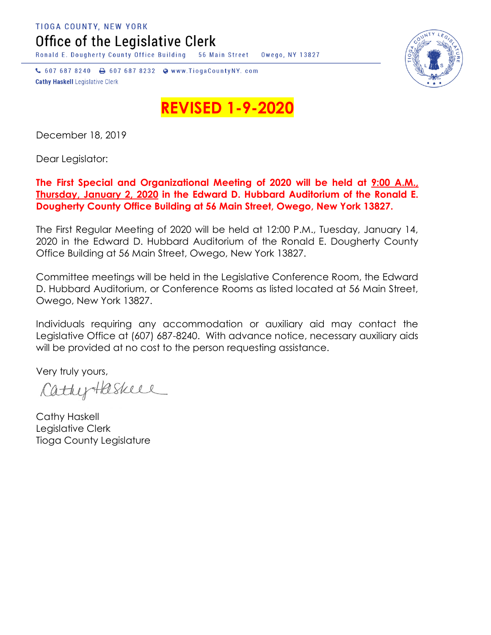TIOGA COUNTY, NEW YORK Office of the Legislative Clerk

Ronald E. Dougherty County Office Building 56 Main Street Owego, NY 13827

↓ 607 687 8240 → 607 687 8232 → www.TiogaCountyNY.com **Cathy Haskell Legislative Clerk** 



**REVISED 1-9-202** 

December 18, 2019

Dear Legislator:

## **The First Special and Organizational Meeting of 2020 will be held at 9:00 A.M., Thursday, January 2, 2020 in the Edward D. Hubbard Auditorium of the Ronald E. Dougherty County Office Building at 56 Main Street, Owego, New York 13827.**

The First Regular Meeting of 2020 will be held at 12:00 P.M., Tuesday, January 14, 2020 in the Edward D. Hubbard Auditorium of the Ronald E. Dougherty County Office Building at 56 Main Street, Owego, New York 13827.

Committee meetings will be held in the Legislative Conference Room, the Edward D. Hubbard Auditorium, or Conference Rooms as listed located at 56 Main Street, Owego, New York 13827.

Individuals requiring any accommodation or auxiliary aid may contact the Legislative Office at (607) 687-8240. With advance notice, necessary auxiliary aids will be provided at no cost to the person requesting assistance.

Very truly yours,

CathyHaskell

Cathy Haskell Legislative Clerk Tioga County Legislature